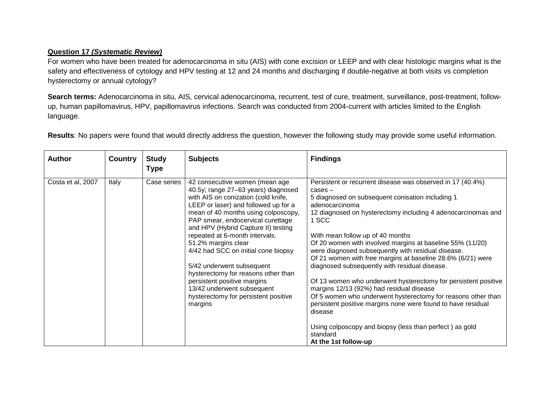## **Question 17** *(Systematic Review)*

For women who have been treated for adenocarcinoma in situ (AIS) with cone excision or LEEP and with clear histologic margins what is the safety and effectiveness of cytology and HPV testing at 12 and 24 months and discharging if double-negative at both visits vs completion hysterectomy or annual cytology?

Search terms: Adenocarcinoma in situ, AIS, cervical adenocarcinoma, recurrent, test of cure, treatment, surveillance, post-treatment, followup, human papillomavirus, HPV, papillomavirus infections. Search was conducted from 2004-current with articles limited to the English language.

| <b>Author</b>     | <b>Country</b> | <b>Study</b><br><b>Type</b> | <b>Subjects</b>                                                                                                                                                                                                                                                                                                                                                                                                                                                                                                                                             | <b>Findings</b>                                                                                                                                                                                                                                                                                                                                                                                                                                                                                                                                                                                                                                                                                                                                                                                                                                       |
|-------------------|----------------|-----------------------------|-------------------------------------------------------------------------------------------------------------------------------------------------------------------------------------------------------------------------------------------------------------------------------------------------------------------------------------------------------------------------------------------------------------------------------------------------------------------------------------------------------------------------------------------------------------|-------------------------------------------------------------------------------------------------------------------------------------------------------------------------------------------------------------------------------------------------------------------------------------------------------------------------------------------------------------------------------------------------------------------------------------------------------------------------------------------------------------------------------------------------------------------------------------------------------------------------------------------------------------------------------------------------------------------------------------------------------------------------------------------------------------------------------------------------------|
| Costa et al, 2007 | Italy          | Case series                 | 42 consecutive women (mean age<br>40.5y; range 27-63 years) diagnosed<br>with AIS on conization (cold knife,<br>LEEP or laser) and followed up for a<br>mean of 40 months using colposcopy,<br>PAP smear, endocervical curettage<br>and HPV (Hybrid Capture II) testing<br>repeated at 6-month intervals.<br>51.2% margins clear<br>4/42 had SCC on initial cone biopsy<br>5/42 underwent subsequent<br>hysterectomy for reasons other than<br>persistent positive margins<br>13/42 underwent subsequent<br>hysterectomy for persistent positive<br>margins | Persistent or recurrent disease was observed in 17 (40.4%)<br>$cases -$<br>5 diagnosed on subsequent conisation including 1<br>adenocarcinoma<br>12 diagnosed on hysterectomy including 4 adenocarcinomas and<br>1 SCC<br>With mean follow up of 40 months<br>Of 20 women with involved margins at baseline 55% (11/20)<br>were diagnosed subsequently with residual disease.<br>Of 21 women with free margins at baseline 28.6% (6/21) were<br>diagnosed subsequently with residual disease.<br>Of 13 women who underwent hysterectomy for persistent positive<br>margins 12/13 (92%) had residual disease<br>Of 5 women who underwent hysterectomy for reasons other than<br>persistent positive margins none were found to have residual<br>disease<br>Using colposcopy and biopsy (less than perfect) as gold<br>standard<br>At the 1st follow-up |

**Results**: No papers were found that would directly address the question, however the following study may provide some useful information.